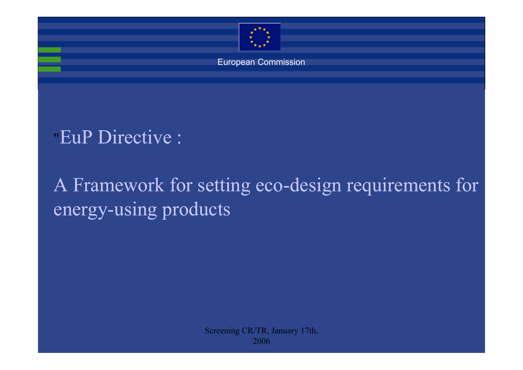

European Commission

"EuP Directive :

A Framework for setting eco-design requirements for energy-using products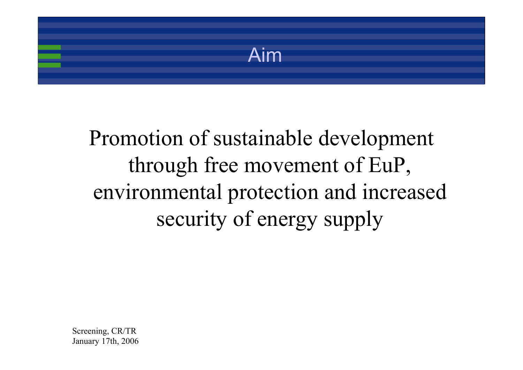Aim

# Promotion of sustainable development through free movement of EuP, environmental protection and increased security of energy supply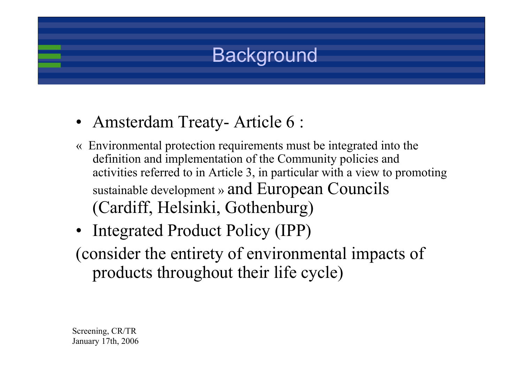## **Background**

- Amsterdam Treaty- Article 6 :
- « Environmental protection requirements must be integrated into the definition and implementation of the Community policies and activities referred to in Article 3, in particular with a view to promoting sustainable development » and European Councils (Cardiff, Helsinki, Gothenburg)
- Integrated Product Policy (IPP)

(consider the entirety of environmental impacts of products throughout their life cycle)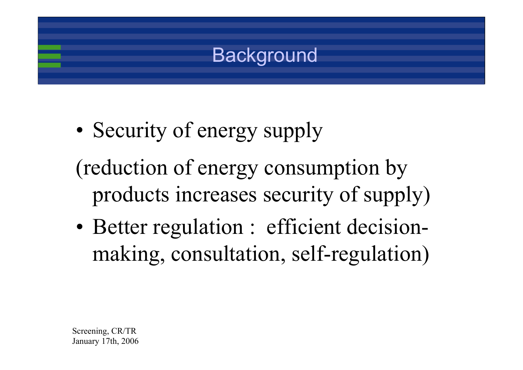

•Security of energy supply

(reduction of energy consumption by products increases security of supply)

• Better regulation : efficient decisionmaking, consultation, self-regulation)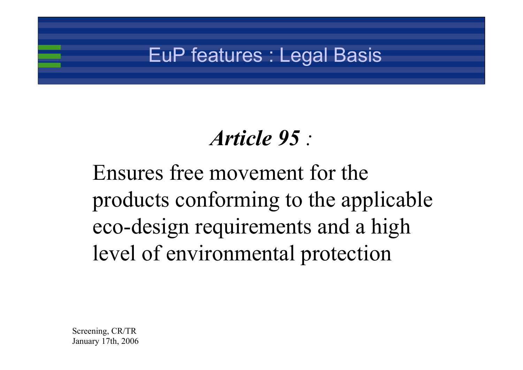## EuP features : Legal Basis

## *Article 95 :*

Ensures free movement for the products conforming to the applicable eco-design requirements and a high level of environmental protection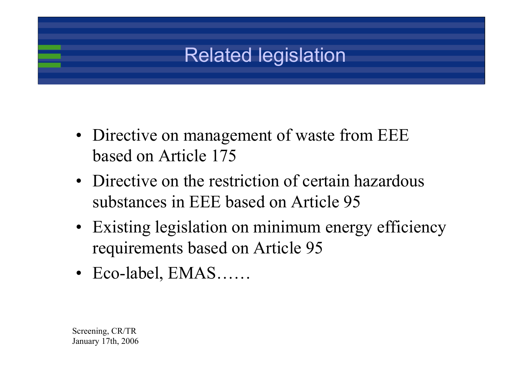## Related legislation

- Directive on management of waste from EEE based on Article 175
- Directive on the restriction of certain hazardous substances in EEE based on Article 95
- Existing legislation on minimum energy efficiency requirements based on Article 95
- Eco-label, EMAS……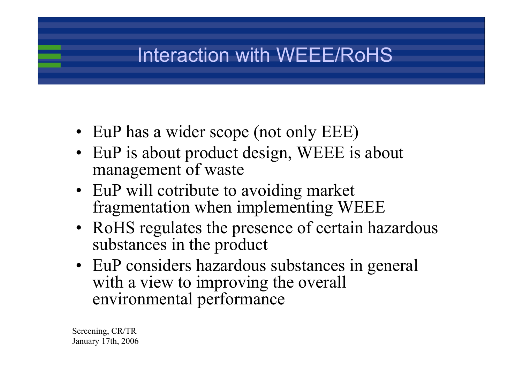## Interaction with WEEE/RoHS

- EuP has a wider scope (not only EEE)
- EuP is about product design, WEEE is about management of waste
- EuP will cotribute to avoiding market fragmentation when implementing WEEE
- RoHS regulates the presence of certain hazardous substances in the product
- EuP considers hazardous substances in general with a view to improving the overall environmental performance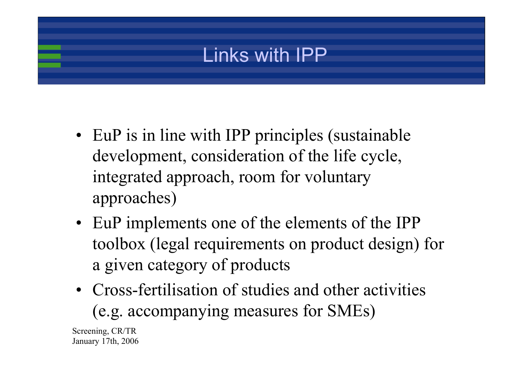## Links with IPP

- EuP is in line with IPP principles (sustainable development, consideration of the life cycle, integrated approach, room for voluntary approaches)
- EuP implements one of the elements of the IPP toolbox (legal requirements on product design) for a given category of products
- Cross-fertilisation of studies and other activities (e.g. accompanying measures for SMEs)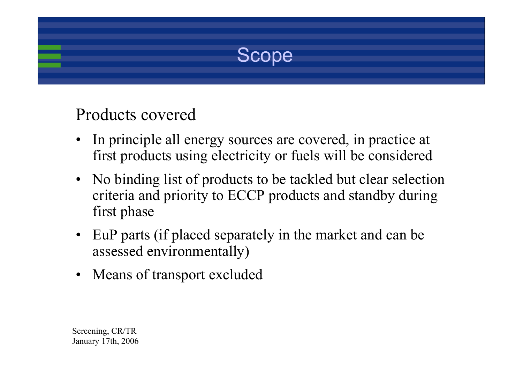

### Products covered

- • In principle all energy sources are covered, in practice at first products using electricity or fuels will be considered
- No binding list of products to be tackled but clear selection criteria and priority to ECCP products and standby during first phase
- EuP parts (if placed separately in the market and can be assessed environmentally)
- Means of transport excluded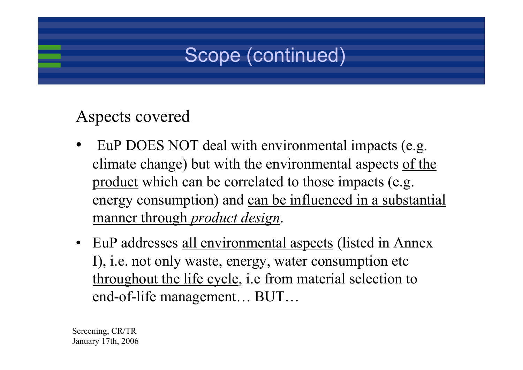## Scope (continued)

### Aspects covered

- • EuP DOES NOT deal with environmental impacts (e.g. climate change) but with the environmental aspects of the product which can be correlated to those impacts (e.g. energy consumption) and can be influenced in a substantial manner through *product design*.
- EuP addresses <u>all environmental aspects</u> (listed in Annex I), i.e. not only waste, energy, water consumption etc throughout the life cycle, i.e from material selection to end-of-life management… BUT…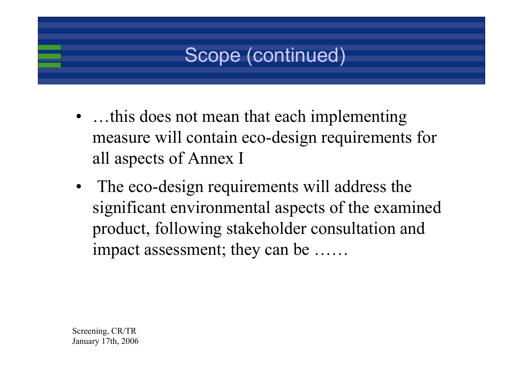## Scope (continued)

- ...this does not mean that each implementing measure will contain eco-design requirements for all aspects of Annex I
- The eco-design requirements will address the significant environmental aspects of the examined product, following stakeholder consultation and impact assessment; they can be ……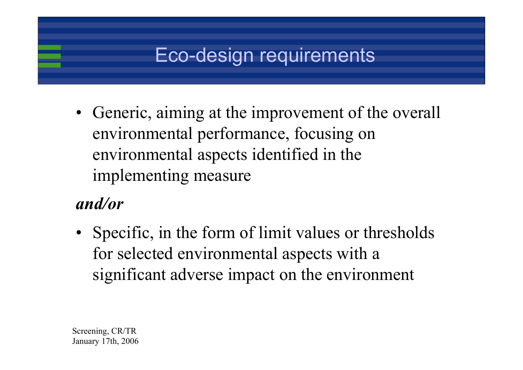## Eco-design requirements

• Generic, aiming at the improvement of the overall environmental performance, focusing on environmental aspects identified in the implementing measure

## *and/or*

• Specific, in the form of limit values or thresholds for selected environmental aspects with a significant adverse impact on the environment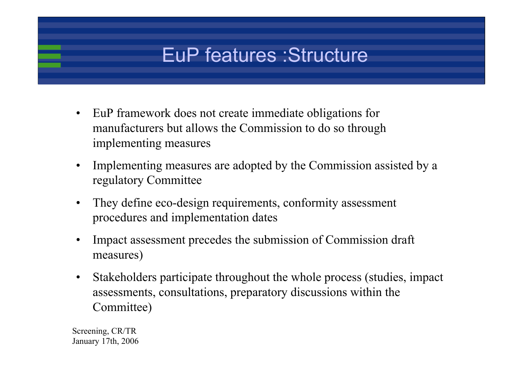## EuP features :Structure

- $\bullet$  EuP framework does not create immediate obligations for manufacturers but allows the Commission to do so through implementing measures
- $\bullet$  Implementing measures are adopted by the Commission assisted by a regulatory Committee
- $\bullet$  They define eco-design requirements, conformity assessment procedures and implementation dates
- • Impact assessment precedes the submission of Commission draft measures)
- $\bullet$  Stakeholders participate throughout the whole process (studies, impact assessments, consultations, preparatory discussions within the Committee)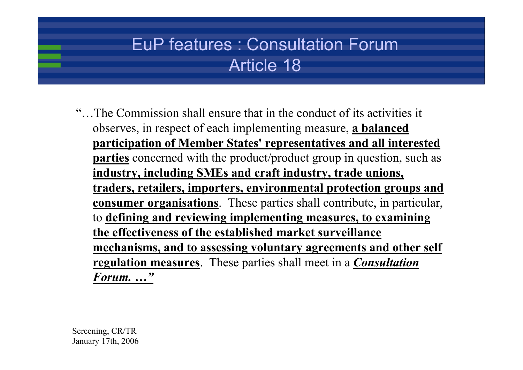## EuP features : Consultation ForumArticle 18

"…The Commission shall ensure that in the conduct of its activities it observes, in respect of each implementing measure, **a balanced participation of Member States' representatives and all interested parties** concerned with the product/product group in question, such as **industry, including SMEs and craft industry, trade unions, traders, retailers, importers, environmental protection groups and consumer organisations**. These parties shall contribute, in particular, to **defining and reviewing implementing measures, to examining the effectiveness of the established market surveillance mechanisms, and to assessing voluntary agreements and other self regulation measures**. These parties shall meet in a *Consultation Forum. …"*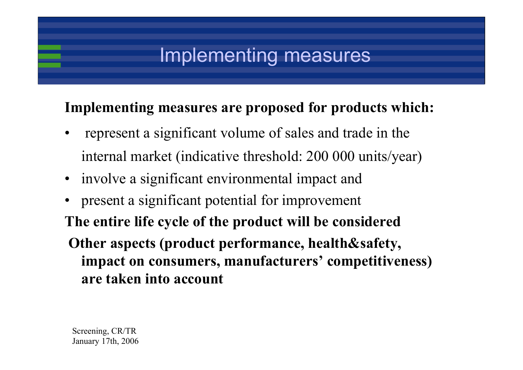## Implementing measures

### **Implementing measures are proposed for products which:**

- • represent a significant volume of sales and trade in the internal market (indicative threshold: 200 000 units/year)
- involve a significant environmental impact and
- • present a significant potential for improvement **The entire life cycle of the product will be considered Other aspects (product performance, health&safety, impact on consumers, manufacturers' competitiveness) are taken into account**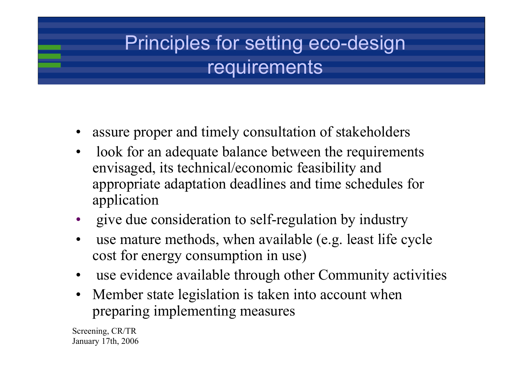## Principles for setting eco-design requirements

- •assure proper and timely consultation of stakeholders
- • look for an adequate balance between the requirements envisaged, its technical/economic feasibility and appropriate adaptation deadlines and time schedules for application
- •give due consideration to self-regulation by industry
- • use mature methods, when available (e.g. least life cycle cost for energy consumption in use)
- •use evidence available through other Community activities
- • Member state legislation is taken into account when preparing implementing measures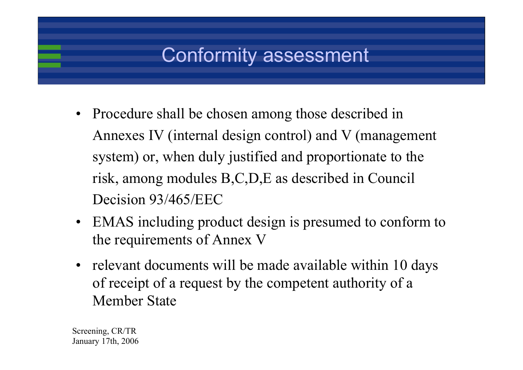## Conformity assessment

- Procedure shall be chosen among those described in Annexes IV (internal design control) and V (management system) or, when duly justified and proportionate to the risk, among modules B,C,D,E as described in Council Decision 93/465/EEC
- EMAS including product design is presumed to conform to the requirements of Annex V
- relevant documents will be made available within 10 days of receipt of a request by the competent authority of a Member State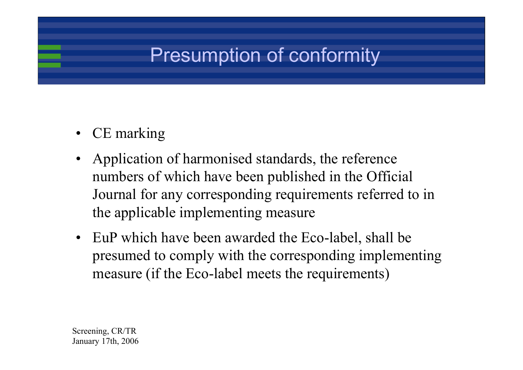## Presumption of conformity

- CE marking
- Application of harmonised standards, the reference numbers of which have been published in the Official Journal for any corresponding requirements referred to in the applicable implementing measure
- EuP which have been awarded the Eco-label, shall be presumed to comply with the corresponding implementing measure (if the Eco-label meets the requirements)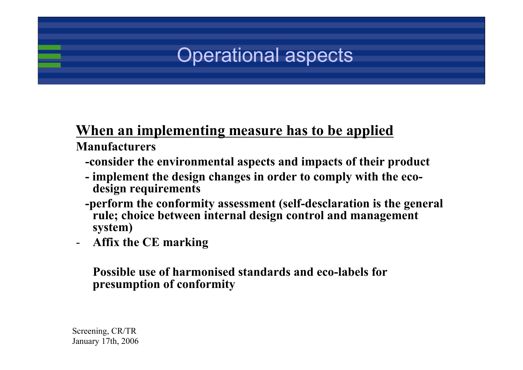## Operational aspects

### **When an implementing measure has to be applied Manufacturers**

- **-consider the environmental aspects and impacts of their product**
- **- implement the design changes in order to comply with the ecodesign requirements**
- **-perform the conformity assessment (self-desclaration is the general rule; choice between internal design control and management system)**
- -**Affix the CE marking**

#### **Possible use of harmonised standards and eco-labels for presumption of conformity**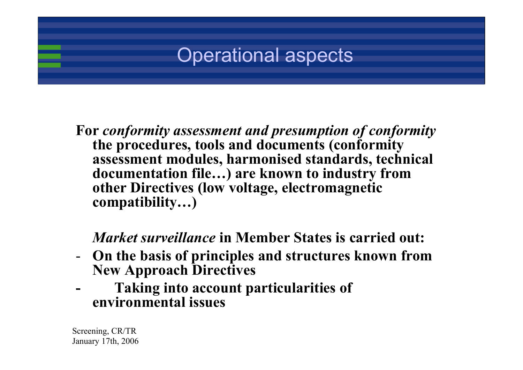## Operational aspects

**For** *conformity assessment and presumption of conformity* **the procedures, tools and documents (conformity assessment modules, harmonised standards, technical documentation file…) are known to industry from other Directives (low voltage, electromagnetic compatibility…)**

### *Market surveillance* **in Member States is carried out:**

- - **On the basis of principles and structures known from New Approach Directives**
- **- Taking into account particularities of environmental issues**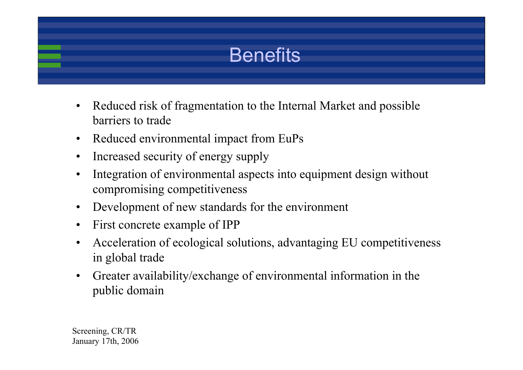## Benefits

- • Reduced risk of fragmentation to the Internal Market and possible barriers to trade
- $\bullet$ Reduced environmental impact from EuPs
- •Increased security of energy supply
- • Integration of environmental aspects into equipment design without compromising competitiveness
- •Development of new standards for the environment
- •First concrete example of IPP
- • Acceleration of ecological solutions, advantaging EU competitiveness in global trade
- $\bullet$  Greater availability/exchange of environmental information in the public domain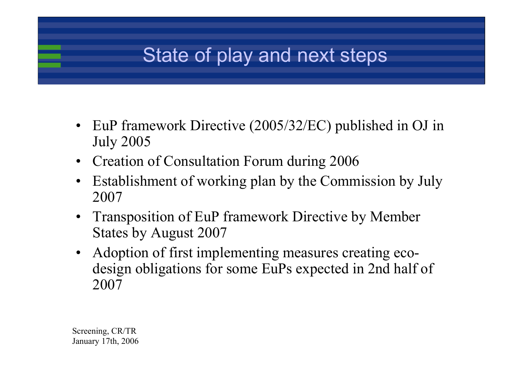## State of play and next steps

- EuP framework Directive (2005/32/EC) published in OJ in July 2005
- Creation of Consultation Forum during 2006
- • Establishment of working plan by the Commission by July 2007
- Transposition of EuP framework Directive by Member States by August 2007
- Adoption of first implementing measures creating ecodesign obligations for some EuPs expected in 2nd half of 2007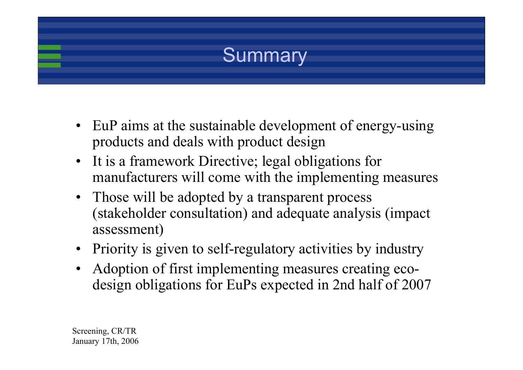

- EuP aims at the sustainable development of energy-using products and deals with product design
- It is a framework Directive; legal obligations for manufacturers will come with the implementing measures
- Those will be adopted by a transparent process (stakeholder consultation) and adequate analysis (impact assessment)
- Priority is given to self-regulatory activities by industry
- Adoption of first implementing measures creating ecodesign obligations for EuPs expected in 2nd half of 2007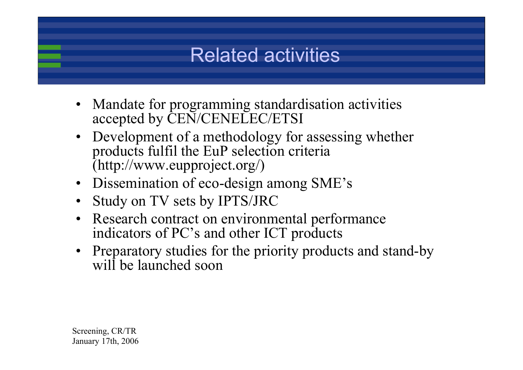## Related activities

- Mandate for programming standardisation activities accepted by CEN/CENELEC/ETSI
- Development of a methodology for assessing whether products fulfil the EuP selection criteria (http://www.eupproject.org/)
- Dissemination of eco-design among SME's
- •Study on TV sets by IPTS/JRC
- Research contract on environmental performance indicators of PC's and other ICT products
- Preparatory studies for the priority products and stand-by will be launched soon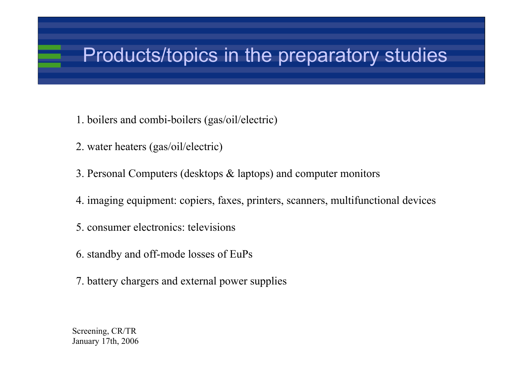## Products/topics in the preparatory studies

- 1. boilers and combi-boilers (gas/oil/electric)
- 2. water heaters (gas/oil/electric)
- 3. Personal Computers (desktops & laptops) and computer monitors
- 4. imaging equipment: copiers, faxes, printers, scanners, multifunctional devices
- 5. consumer electronics: televisions
- 6. standby and off-mode losses of EuPs
- 7. battery chargers and external power supplies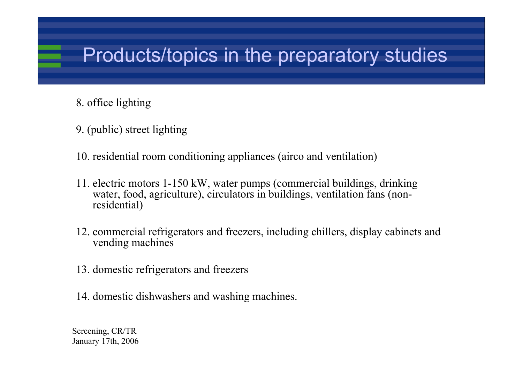## Products/topics in the preparatory studies

- 8. office lighting
- 9. (public) street lighting
- 10. residential room conditioning appliances (airco and ventilation)
- 11. electric motors 1-150 kW, water pumps (commercial buildings, drinking water, food, agriculture), circulators in buildings, ventilation fans (nonresidential)
- 12. commercial refrigerators and freezers, including chillers, display cabinets and vending machines
- 13. domestic refrigerators and freezers
- 14. domestic dishwashers and washing machines.